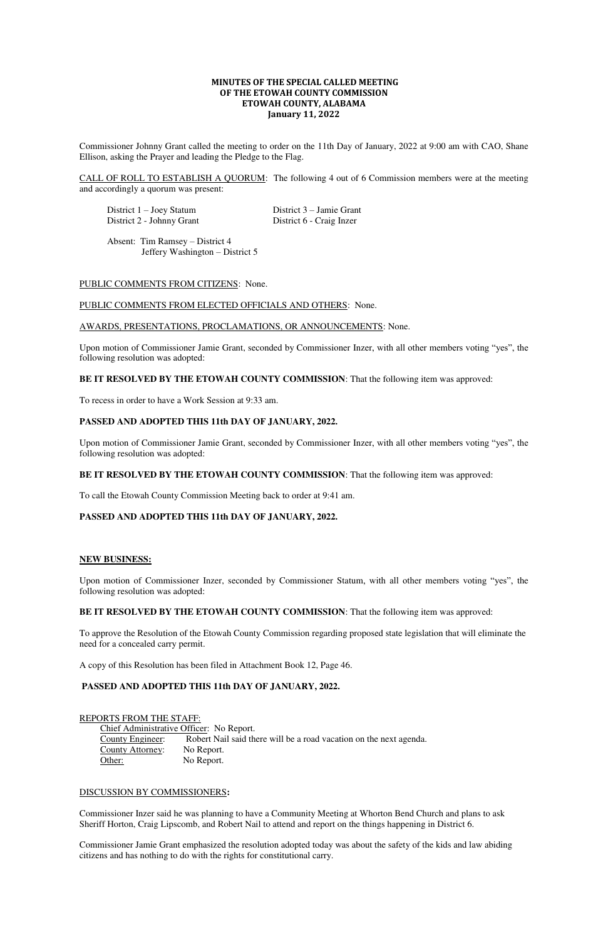# **MINUTES OF THE SPECIAL CALLED MEETING OF THE ETOWAH COUNTY COMMISSION ETOWAH COUNTY, ALABAMA January 11, 2022**

Commissioner Johnny Grant called the meeting to order on the 11th Day of January, 2022 at 9:00 am with CAO, Shane Ellison, asking the Prayer and leading the Pledge to the Flag.

 District 1 – Joey Statum District 3 – Jamie Grant District 2 - Johnny Grant District 6 - Craig Inzer

CALL OF ROLL TO ESTABLISH A QUORUM: The following 4 out of 6 Commission members were at the meeting and accordingly a quorum was present:

 Absent: Tim Ramsey – District 4 Jeffery Washington – District 5

## PUBLIC COMMENTS FROM CITIZENS: None.

#### PUBLIC COMMENTS FROM ELECTED OFFICIALS AND OTHERS: None.

#### AWARDS, PRESENTATIONS, PROCLAMATIONS, OR ANNOUNCEMENTS: None.

Upon motion of Commissioner Jamie Grant, seconded by Commissioner Inzer, with all other members voting "yes", the following resolution was adopted:

## **BE IT RESOLVED BY THE ETOWAH COUNTY COMMISSION**: That the following item was approved:

Chief Administrative Officer: No Report. County Engineer: Robert Nail said there will be a road vacation on the next agenda. County Attorney: No Report. Other: No Report.

To recess in order to have a Work Session at 9:33 am.

## **PASSED AND ADOPTED THIS 11th DAY OF JANUARY, 2022.**

Upon motion of Commissioner Jamie Grant, seconded by Commissioner Inzer, with all other members voting "yes", the following resolution was adopted:

## **BE IT RESOLVED BY THE ETOWAH COUNTY COMMISSION**: That the following item was approved:

To call the Etowah County Commission Meeting back to order at 9:41 am.

## **PASSED AND ADOPTED THIS 11th DAY OF JANUARY, 2022.**

#### **NEW BUSINESS:**

Upon motion of Commissioner Inzer, seconded by Commissioner Statum, with all other members voting "yes", the following resolution was adopted:

**BE IT RESOLVED BY THE ETOWAH COUNTY COMMISSION**: That the following item was approved:

To approve the Resolution of the Etowah County Commission regarding proposed state legislation that will eliminate the need for a concealed carry permit.

A copy of this Resolution has been filed in Attachment Book 12, Page 46.

#### **PASSED AND ADOPTED THIS 11th DAY OF JANUARY, 2022.**

### REPORTS FROM THE STAFF:

#### DISCUSSION BY COMMISSIONERS**:**

Commissioner Inzer said he was planning to have a Community Meeting at Whorton Bend Church and plans to ask Sheriff Horton, Craig Lipscomb, and Robert Nail to attend and report on the things happening in District 6.

Commissioner Jamie Grant emphasized the resolution adopted today was about the safety of the kids and law abiding citizens and has nothing to do with the rights for constitutional carry.